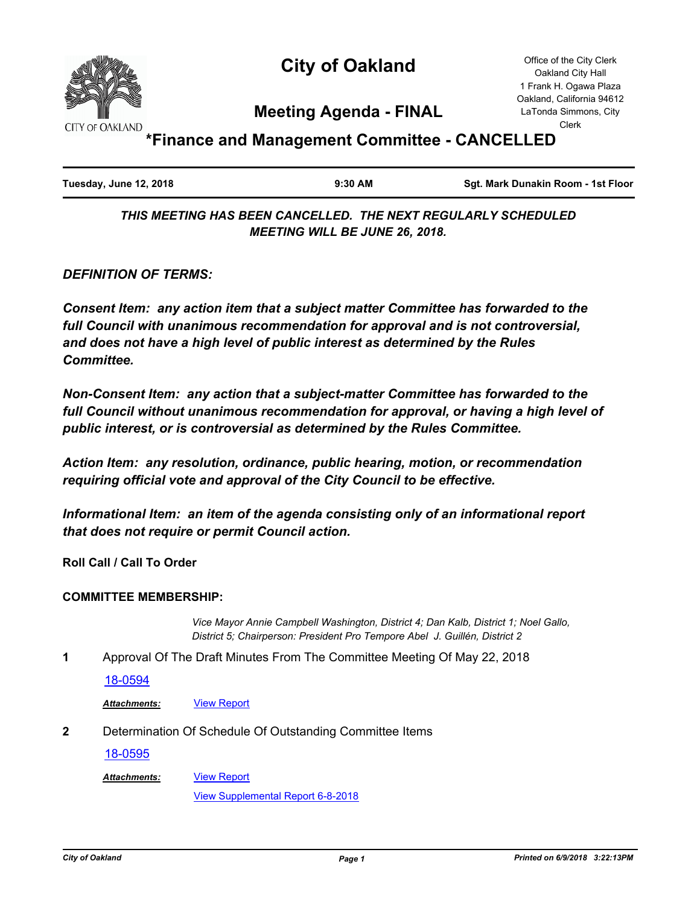

# **City of Oakland**

Office of the City Clerk Oakland City Hall 1 Frank H. Ogawa Plaza Oakland, California 94612 LaTonda Simmons, City Clerk

## **Meeting Agenda - FINAL**

**\*Finance and Management Committee - CANCELLED**

| Tuesday, June 12, 2018<br>$9:30$ AM |  |  | Sgt. Mark Dunakin Room - 1st Floor |
|-------------------------------------|--|--|------------------------------------|
|-------------------------------------|--|--|------------------------------------|

*THIS MEETING HAS BEEN CANCELLED. THE NEXT REGULARLY SCHEDULED MEETING WILL BE JUNE 26, 2018.*

*DEFINITION OF TERMS:*

*Consent Item: any action item that a subject matter Committee has forwarded to the full Council with unanimous recommendation for approval and is not controversial, and does not have a high level of public interest as determined by the Rules Committee.*

*Non-Consent Item: any action that a subject-matter Committee has forwarded to the full Council without unanimous recommendation for approval, or having a high level of public interest, or is controversial as determined by the Rules Committee.*

*Action Item: any resolution, ordinance, public hearing, motion, or recommendation requiring official vote and approval of the City Council to be effective.*

*Informational Item: an item of the agenda consisting only of an informational report that does not require or permit Council action.*

**Roll Call / Call To Order**

### **COMMITTEE MEMBERSHIP:**

*Vice Mayor Annie Campbell Washington, District 4; Dan Kalb, District 1; Noel Gallo, District 5; Chairperson: President Pro Tempore Abel J. Guillén, District 2*

**1** Approval Of The Draft Minutes From The Committee Meeting Of May 22, 2018

[18-0594](http://oakland.legistar.com/gateway.aspx?m=l&id=/matter.aspx?key=29028)

*Attachments:* [View Report](http://oakland.legistar.com/gateway.aspx?M=F&ID=b54ed521-676b-4967-8212-0ff77778682f.pdf)

**2** Determination Of Schedule Of Outstanding Committee Items

[View Report](http://oakland.legistar.com/gateway.aspx?M=F&ID=350e87dc-0909-4368-9bd3-24797c908011.pdf)

[18-0595](http://oakland.legistar.com/gateway.aspx?m=l&id=/matter.aspx?key=29029)

*Attachments:*

[View Supplemental Report 6-8-2018](http://oakland.legistar.com/gateway.aspx?M=F&ID=2b4afa33-8ab8-4078-bacf-8d1ef23df809.pdf)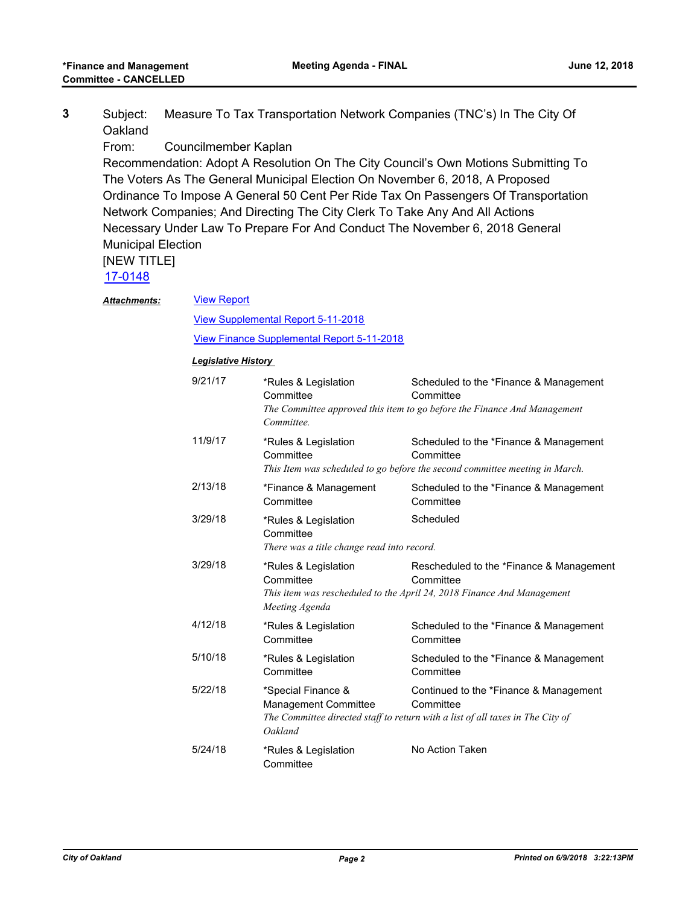|         | Subject: Measure To Tax Transportation Network Companies (TNC's) In The City Of |
|---------|---------------------------------------------------------------------------------|
| Oakland |                                                                                 |

From: Councilmember Kaplan

Recommendation: Adopt A Resolution On The City Council's Own Motions Submitting To The Voters As The General Municipal Election On November 6, 2018, A Proposed Ordinance To Impose A General 50 Cent Per Ride Tax On Passengers Of Transportation Network Companies; And Directing The City Clerk To Take Any And All Actions Necessary Under Law To Prepare For And Conduct The November 6, 2018 General Municipal Election

### [NEW TITLE]

[17-0148](http://oakland.legistar.com/gateway.aspx?m=l&id=/matter.aspx?key=28096)

| <b>View Report</b><br><b>Attachments:</b> |  |
|-------------------------------------------|--|
|-------------------------------------------|--|

[View Supplemental Report 5-11-2018](http://oakland.legistar.com/gateway.aspx?M=F&ID=7e6416b6-612a-45ae-9891-96c0fa245405.pdf)

[View Finance Supplemental Report 5-11-2018](http://oakland.legistar.com/gateway.aspx?M=F&ID=55c34693-2c44-4a84-90b4-6eb930237684.pdf)

#### *Legislative History*

| 9/21/17 | *Rules & Legislation<br>Committee<br>Committee.                                 | Scheduled to the *Finance & Management<br>Committee<br>The Committee approved this item to go before the Finance And Management       |
|---------|---------------------------------------------------------------------------------|---------------------------------------------------------------------------------------------------------------------------------------|
| 11/9/17 | *Rules & Legislation<br>Committee                                               | Scheduled to the *Finance & Management<br>Committee<br>This Item was scheduled to go before the second committee meeting in March.    |
| 2/13/18 | *Finance & Management<br>Committee                                              | Scheduled to the *Finance & Management<br>Committee                                                                                   |
| 3/29/18 | *Rules & Legislation<br>Committee<br>There was a title change read into record. | Scheduled                                                                                                                             |
| 3/29/18 | *Rules & Legislation<br>Committee<br>Meeting Agenda                             | Rescheduled to the *Finance & Management<br>Committee<br>This item was rescheduled to the April 24, 2018 Finance And Management       |
| 4/12/18 | *Rules & Legislation<br>Committee                                               | Scheduled to the *Finance & Management<br>Committee                                                                                   |
| 5/10/18 | *Rules & Legislation<br>Committee                                               | Scheduled to the *Finance & Management<br>Committee                                                                                   |
| 5/22/18 | *Special Finance &<br>Management Committee<br>Oakland                           | Continued to the *Finance & Management<br>Committee<br>The Committee directed staff to return with a list of all taxes in The City of |
| 5/24/18 | *Rules & Legislation<br>Committee                                               | No Action Taken                                                                                                                       |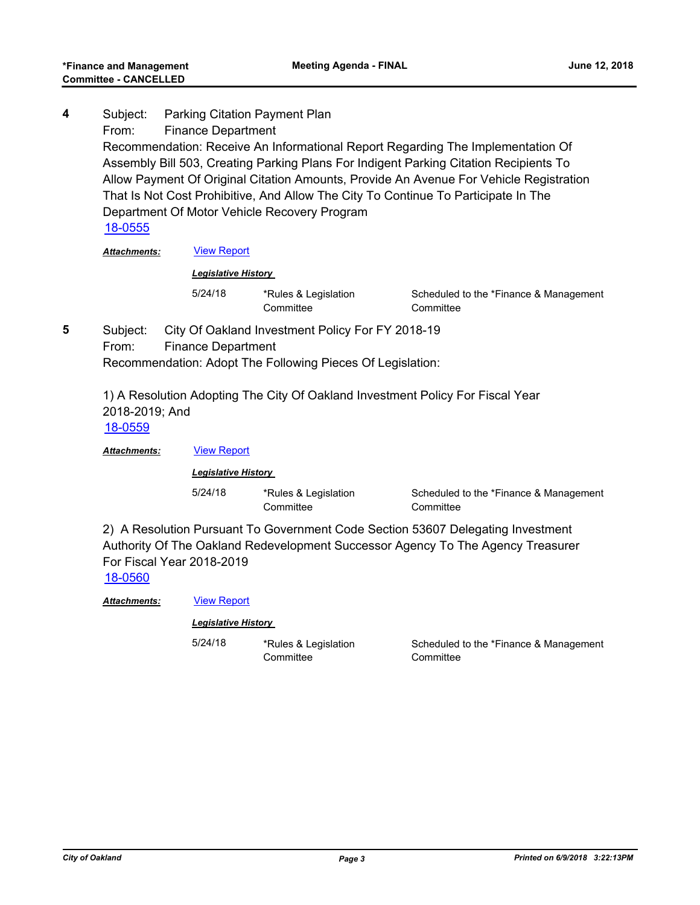Subject: Parking Citation Payment Plan From: Finance Department Recommendation: Receive An Informational Report Regarding The Implementation Of Assembly Bill 503, Creating Parking Plans For Indigent Parking Citation Recipients To Allow Payment Of Original Citation Amounts, Provide An Avenue For Vehicle Registration That Is Not Cost Prohibitive, And Allow The City To Continue To Participate In The Department Of Motor Vehicle Recovery Program **4** [18-0555](http://oakland.legistar.com/gateway.aspx?m=l&id=/matter.aspx?key=28990)

*Attachments:* [View Report](http://oakland.legistar.com/gateway.aspx?M=F&ID=7460227b-a8db-47c9-8277-bd63efb1f941.pdf)

#### *Legislative History*

5/24/18 \*Rules & Legislation **Committee** 

Scheduled to the \*Finance & Management **Committee** 

Subject: City Of Oakland Investment Policy For FY 2018-19 From: Finance Department Recommendation: Adopt The Following Pieces Of Legislation: **5**

> 1) A Resolution Adopting The City Of Oakland Investment Policy For Fiscal Year 2018-2019; And [18-0559](http://oakland.legistar.com/gateway.aspx?m=l&id=/matter.aspx?key=28994)

*Attachments:* [View Report](http://oakland.legistar.com/gateway.aspx?M=F&ID=b85fcc3b-ae79-4ade-b5b8-a1f014b06aa4.pdf)

*Legislative History* 

5/24/18 \*Rules & Legislation **Committee** 

Scheduled to the \*Finance & Management **Committee** 

2) A Resolution Pursuant To Government Code Section 53607 Delegating Investment Authority Of The Oakland Redevelopment Successor Agency To The Agency Treasurer For Fiscal Year 2018-2019

[18-0560](http://oakland.legistar.com/gateway.aspx?m=l&id=/matter.aspx?key=28995)

*Attachments:* [View Report](http://oakland.legistar.com/gateway.aspx?M=F&ID=bf6817b6-eb05-441f-81ec-73cb87dfe314.pdf)

#### *Legislative History*

5/24/18 \*Rules & Legislation

**Committee** 

Scheduled to the \*Finance & Management **Committee**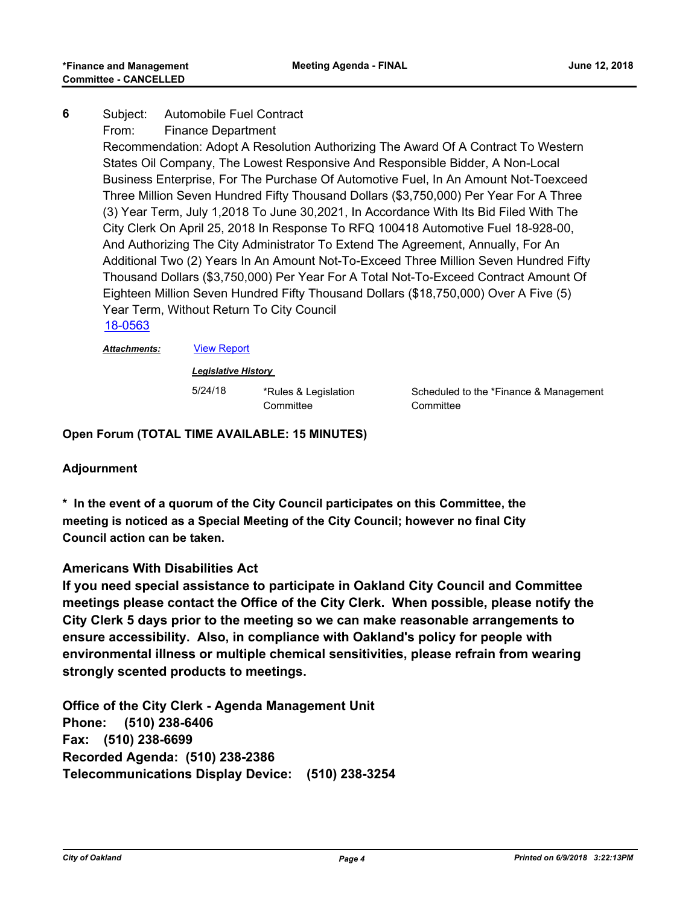#### Subject: Automobile Fuel Contract **6**

From: Finance Department

Recommendation: Adopt A Resolution Authorizing The Award Of A Contract To Western States Oil Company, The Lowest Responsive And Responsible Bidder, A Non-Local Business Enterprise, For The Purchase Of Automotive Fuel, In An Amount Not-Toexceed Three Million Seven Hundred Fifty Thousand Dollars (\$3,750,000) Per Year For A Three (3) Year Term, July 1,2018 To June 30,2021, In Accordance With Its Bid Filed With The City Clerk On April 25, 2018 In Response To RFQ 100418 Automotive Fuel 18-928-00, And Authorizing The City Administrator To Extend The Agreement, Annually, For An Additional Two (2) Years In An Amount Not-To-Exceed Three Million Seven Hundred Fifty Thousand Dollars (\$3,750,000) Per Year For A Total Not-To-Exceed Contract Amount Of Eighteen Million Seven Hundred Fifty Thousand Dollars (\$18,750,000) Over A Five (5) Year Term, Without Return To City Council [18-0563](http://oakland.legistar.com/gateway.aspx?m=l&id=/matter.aspx?key=28998)

*Attachments:* [View Report](http://oakland.legistar.com/gateway.aspx?M=F&ID=b8d95d7e-d3d2-4988-9682-f5cd79abab1d.pdf)

### *Legislative History*

5/24/18 \*Rules & Legislation **Committee** 

Scheduled to the \*Finance & Management **Committee** 

**Open Forum (TOTAL TIME AVAILABLE: 15 MINUTES)**

### **Adjournment**

**\* In the event of a quorum of the City Council participates on this Committee, the meeting is noticed as a Special Meeting of the City Council; however no final City Council action can be taken.**

### **Americans With Disabilities Act**

**If you need special assistance to participate in Oakland City Council and Committee meetings please contact the Office of the City Clerk. When possible, please notify the City Clerk 5 days prior to the meeting so we can make reasonable arrangements to ensure accessibility. Also, in compliance with Oakland's policy for people with environmental illness or multiple chemical sensitivities, please refrain from wearing strongly scented products to meetings.**

**Office of the City Clerk - Agenda Management Unit Phone: (510) 238-6406 Fax: (510) 238-6699 Recorded Agenda: (510) 238-2386 Telecommunications Display Device: (510) 238-3254**